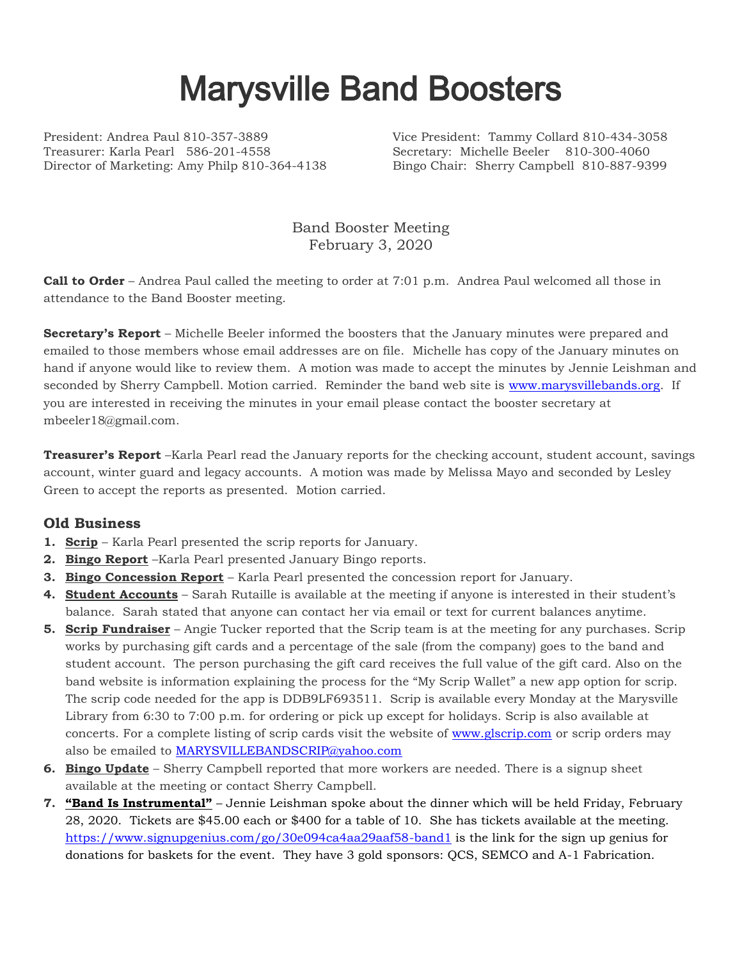## Marysville Band Boosters

President: Andrea Paul 810-357-3889 Vice President: Tammy Collard 810-434-3058 Treasurer: Karla Pearl 586-201-4558 Secretary: Michelle Beeler 810-300-4060 Director of Marketing: Amy Philp 810-364-4138 Bingo Chair: Sherry Campbell 810-887-9399

Band Booster Meeting February 3, 2020

**Call to Order** – Andrea Paul called the meeting to order at 7:01 p.m. Andrea Paul welcomed all those in attendance to the Band Booster meeting.

**Secretary's Report** – Michelle Beeler informed the boosters that the January minutes were prepared and emailed to those members whose email addresses are on file. Michelle has copy of the January minutes on hand if anyone would like to review them. A motion was made to accept the minutes by Jennie Leishman and seconded by Sherry Campbell. Motion carried. Reminder the band web site is [www.marysvillebands.org.](http://www.marysvillebands.org/) If you are interested in receiving the minutes in your email please contact the booster secretary at mbeeler18@gmail.com.

**Treasurer's Report** –Karla Pearl read the January reports for the checking account, student account, savings account, winter guard and legacy accounts. A motion was made by Melissa Mayo and seconded by Lesley Green to accept the reports as presented. Motion carried.

## **Old Business**

- **1. Scrip** Karla Pearl presented the scrip reports for January.
- **2. Bingo Report** –Karla Pearl presented January Bingo reports.
- **3. Bingo Concession Report** Karla Pearl presented the concession report for January.
- **4. Student Accounts** Sarah Rutaille is available at the meeting if anyone is interested in their student's balance. Sarah stated that anyone can contact her via email or text for current balances anytime.
- **5. Scrip Fundraiser** Angie Tucker reported that the Scrip team is at the meeting for any purchases. Scrip works by purchasing gift cards and a percentage of the sale (from the company) goes to the band and student account. The person purchasing the gift card receives the full value of the gift card. Also on the band website is information explaining the process for the "My Scrip Wallet" a new app option for scrip. The scrip code needed for the app is DDB9LF693511. Scrip is available every Monday at the Marysville Library from 6:30 to 7:00 p.m. for ordering or pick up except for holidays. Scrip is also available at concerts. For a complete listing of scrip cards visit the website of [www.glscrip.com](http://www.glscrip.com/) or scrip orders may also be emailed to [MARYSVILLEBANDSCRIP@yahoo.com](mailto:MARYSVILLEBANDSCRIP@yahoo.com)
- **6. Bingo Update** Sherry Campbell reported that more workers are needed. There is a signup sheet available at the meeting or contact Sherry Campbell.
- **7. "Band Is Instrumental"** Jennie Leishman spoke about the dinner which will be held Friday, February 28, 2020. Tickets are \$45.00 each or \$400 for a table of 10. She has tickets available at the meeting. <https://www.signupgenius.com/go/30e094ca4aa29aaf58-band1> is the link for the sign up genius for donations for baskets for the event. They have 3 gold sponsors: QCS, SEMCO and A-1 Fabrication.